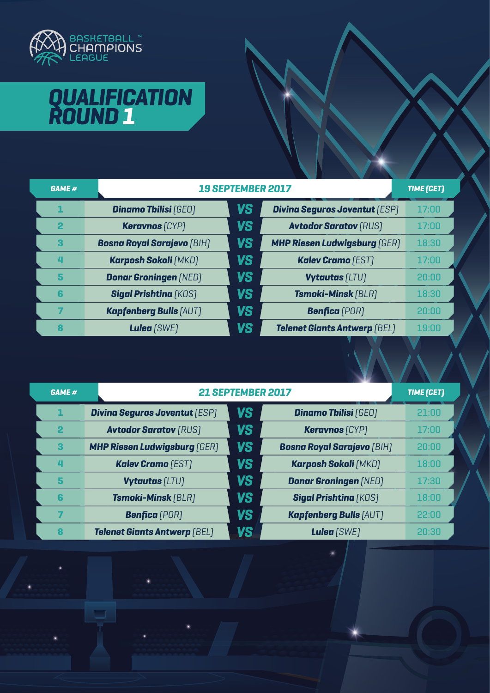

## **QUALIFICATION ROUND 1**

| <b>GAME #</b>           |                                   | <b>19 SEPTEMBER 2017</b> |                                      |       |
|-------------------------|-----------------------------------|--------------------------|--------------------------------------|-------|
|                         | <b>Dinamo Thilisi (GEO)</b>       | <b>VS</b>                | <b>Divina Seguros Joventut (ESP)</b> | 17:00 |
| $\overline{\mathbf{2}}$ | <b>Keravnos</b> [CYP]             | <b>VS</b>                | <b>Avtodor Saratov [RUS]</b>         | 17:00 |
| З                       | <b>Bosna Royal Sarajevo (BIH)</b> | <b>VS</b>                | <b>MHP Riesen Ludwigsburg [GER]</b>  | 18:30 |
| д                       | <b>Karposh Sokoli [MKD]</b>       | <b>VS</b>                | <b>Kalev Cramo</b> (EST)             | 17:00 |
| 5                       | <b>Donar Groningen (NED)</b>      | <b>VS</b>                | <b>Vytautas [LTU]</b>                | 20:00 |
| 6                       | <b>Sigal Prishtina [KOS]</b>      | <b>VS</b>                | <b>Tsmoki-Minsk [BLR]</b>            | 18:30 |
|                         | <b>Kapfenberg Bulls [AUT]</b>     | <b>VS</b>                | <b>Benfica</b> (POR)                 | 20:00 |
|                         | Lulea (SWE)                       | <b>VS</b>                | <b>Telenet Giants Antwerp (BEL)</b>  | 19:00 |

| <b>GAME #</b> |                                      | 21 SEPTEMBER 2017 |                                   |       |
|---------------|--------------------------------------|-------------------|-----------------------------------|-------|
| 1             | <b>Divina Seguros Joventut [ESP]</b> | <b>VS</b>         | <b>Dinamo Tbilisi (GEO)</b>       | 21:00 |
| $\mathbf{2}$  | <b>Avtodor Saratov [RUS]</b>         | <b>VS</b>         | <b>Keravnos</b> [CYP]             | 17:00 |
| 3             | <b>MHP Riesen Ludwigsburg [GER]</b>  | VS                | <b>Bosna Royal Sarajevo (BIH)</b> | 20:00 |
| Д             | <b>Kalev Cramo</b> (EST)             | <b>VS</b>         | <b>Karposh Sokoli [MKD]</b>       | 18:00 |
| 5             | <b>Vytautas [LTU]</b>                | <b>VS</b>         | <b>Donar Groningen (NED)</b>      | 17:30 |
| 6             | <b>Tsmoki-Minsk [BLR]</b>            | <b>VS</b>         | <b>Sigal Prishtina [KOS]</b>      | 18:00 |
|               | <b>Benfica</b> (POR)                 | <b>VS</b>         | <b>Kapfenberg Bulls [AUT]</b>     | 22:00 |
| 8             | <b>Telenet Giants Antwerp (BEL)</b>  | VS                | Lulea (SWE)                       | 20:30 |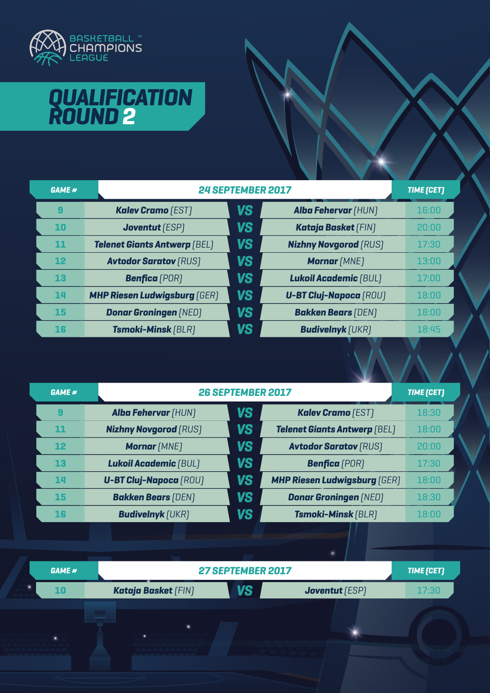

# **QUALIFICATION ROUND 1 2**

| <b>GAME #</b> |                                     | 24 SEPTEMBER 2017 |                               |       |
|---------------|-------------------------------------|-------------------|-------------------------------|-------|
| 9             | <b>Kalev Cramo</b> (EST)            | <b>VS</b>         | <b>Alba Fehervar (HUN)</b>    | 16:00 |
| 10            | <b>Joventut</b> [ESP]               | <b>VS</b>         | Kataja Basket [FIN]           | 20:00 |
| 11            | <b>Telenet Giants Antwerp (BEL)</b> | <b>VS</b>         | <b>Nizhny Novgorod [RUS]</b>  | 17:30 |
| 12            | <b>Avtodor Saratov [RUS]</b>        | <b>VS</b>         | <b>Mornar [MNE]</b>           | 13:00 |
| 13            | <b>Benfica</b> (POR)                | <b>VS</b>         | <b>Lukoil Academic [BUL]</b>  | 17:00 |
| 14            | <b>MHP Riesen Ludwigsburg [GER]</b> | <b>VS</b>         | <b>U-BT Cluj-Napoca (ROU)</b> | 18:00 |
| 15            | <b>Donar Groningen [NED]</b>        | <b>VS</b>         | <b>Bakken Bears (DEN)</b>     | 18:00 |
| 16            | <b>Tsmoki-Minsk [BLR]</b>           | <b>VS</b>         | <b>Budivelnyk</b> [UKR]       | 18:45 |

| <b>VS</b><br><b>Kalev Cramo [EST]</b><br><b>Alba Fehervar (HUN)</b><br>9<br><b>VS</b><br><b>Nizhny Novgorod (RUS)</b><br><b>Telenet Giants Antwerp (BEL)</b><br>11 | 18:30<br>18:00 |
|--------------------------------------------------------------------------------------------------------------------------------------------------------------------|----------------|
|                                                                                                                                                                    |                |
|                                                                                                                                                                    |                |
| <b>VS</b><br><b>Avtodor Saratov [RUS]</b><br>12<br><b>Mornar</b> [MNE]                                                                                             | 20:00          |
| <b>VS</b><br>13<br><b>Lukoil Academic [BUL]</b><br><b>Benfica</b> (POR)                                                                                            | 17:30          |
| <b>VS</b><br><b>MHP Riesen Ludwigsburg [GER]</b><br><b>U-BT Cluj-Napoca (ROU)</b><br>14                                                                            | 18:00          |
| <b>VS</b><br><b>Bakken Bears (DEN)</b><br><b>Donar Groningen (NED)</b><br>15                                                                                       | 18:30          |
| VS<br><b>Tsmoki-Minsk (BLR)</b><br><b>Budivelnyk</b> [UKR]<br>16                                                                                                   | 18:00          |

| GAME # |                                         | 27 SEPTEMBER 2017     |       |  |  |
|--------|-----------------------------------------|-----------------------|-------|--|--|
| 10     | <b>VS</b><br><b>Kataja Basket [FIN]</b> | <b>Joventut</b> [ESP] | 17:30 |  |  |
|        |                                         |                       |       |  |  |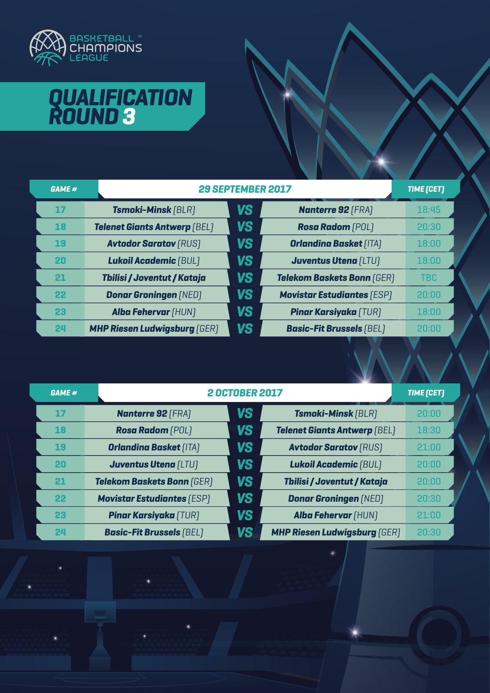

# **QUALIFICATION ROUND 1 3**

| <b>GAME #</b> |                                     | 29 SEPTEMBER 2017 |                                   |            |  |
|---------------|-------------------------------------|-------------------|-----------------------------------|------------|--|
| 17            | <b>Tsmoki-Minsk [BLR]</b>           | <b>VS</b>         | <b>Nanterre 92 [FRA]</b>          | 18:45      |  |
| <b>18</b>     | <b>Telenet Giants Antwerp (BEL)</b> | <b>VS</b>         | <b>Rosa Radom</b> (POL)           | 20:30      |  |
| 19            | <b>Avtodor Saratov [RUS]</b>        | <b>VS</b>         | <b>Orlandina Basket [ITA]</b>     | 18:00      |  |
| 20            | <b>Lukoil Academic [BUL]</b>        | <b>VS</b>         | <b>Juventus Utena (LTU)</b>       | 18:00      |  |
| 21            | Tbilisi / Joventut / Kataja         | <b>VS</b>         | <b>Telekom Baskets Bonn (GER)</b> | <b>TBC</b> |  |
| 22            | <b>Donar Groningen (NED)</b>        | <b>VS</b>         | <b>Movistar Estudiantes [ESP]</b> | 20:00      |  |
| 23            | <b>Alba Fehervar (HUN)</b>          | <b>VS</b>         | <b>Pinar Karsiyaka [TUR]</b>      | 18:00      |  |
| 24            | <b>MHP Riesen Ludwigsburg [GER]</b> | <b>VS</b>         | <b>Basic-Fit Brussels [BEL]</b>   | 20:00      |  |

| <b>GAME #</b> |                                   | <b>2 OCTOBER 2017</b> |                                     |       |
|---------------|-----------------------------------|-----------------------|-------------------------------------|-------|
| 17            | <b>Nanterre 92 [FRA]</b>          | <b>VS</b>             | <b>Tsmoki-Minsk [BLR]</b>           | 20:00 |
| 18            | <b>Rosa Radom</b> (POL)           | <b>VS</b>             | <b>Telenet Giants Antwerp (BEL)</b> | 18:30 |
| 19            | <b>Orlandina Basket [ITA]</b>     | <b>VS</b>             | <b>Avtodor Saratov [RUS]</b>        | 21:00 |
| 20            | <b>Juventus Utena [LTU]</b>       | <b>VS</b>             | <b>Lukoil Academic [BUL]</b>        | 20:00 |
| 21            | <b>Telekom Baskets Bonn (GER)</b> | <b>VS</b>             | Tbilisi / Joventut / Kataja         | 20:00 |
| 22            | <b>Movistar Estudiantes (ESP)</b> | <b>VS</b>             | <b>Donar Groningen [NED]</b>        | 20:30 |
| 23            | <b>Pinar Karsiyaka</b> (TUR)      | VS                    | <b>Alba Fehervar (HUN)</b>          | 21:00 |
| 24            | <b>Basic-Fit Brussels (BEL)</b>   | VS                    | <b>MHP Riesen Ludwigsburg [GER]</b> | 20:30 |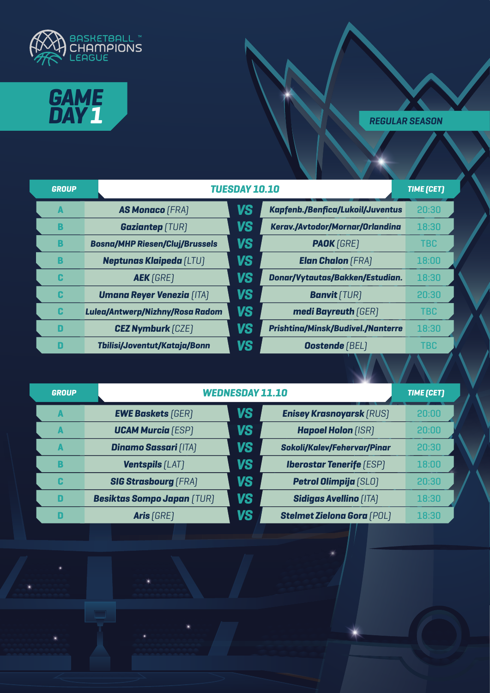



| <b>GROUP</b> |                                       | <b>TUESDAY 10.10</b> |                                          |            |
|--------------|---------------------------------------|----------------------|------------------------------------------|------------|
| A            | <b>AS Monaco (FRA)</b>                | <b>VS</b>            | <b>Kapfenb./Benfica/Lukoil/Juventus</b>  | 20:30      |
| B            | <b>Gaziantep (TUR)</b>                | <b>VS</b>            | Kerav./Avtodor/Mornar/Orlandina          | 18:30      |
| B            | <b>Bosna/MHP Riesen/Cluj/Brussels</b> | <b>VS</b>            | <b>PAOK</b> [GRE]                        | <b>TBC</b> |
| B            | <b>Neptunas Klaipeda [LTU]</b>        | <b>VS</b>            | <b>Elan Chalon</b> (FRA)                 | 18:00      |
| C            | <b>AEK</b> [GRE]                      | <b>VS</b>            | Donar/Vytautas/Bakken/Estudian.          | 18:30      |
| C            | <b>Umana Reyer Venezia [ITA]</b>      | <b>VS</b>            | <b>Banvit</b> (TUR)                      | 20:30      |
| C            | Lulea/Antwerp/Nizhny/Rosa Radom       | <b>VS</b>            | medi Bayreuth (GER)                      | <b>TBC</b> |
| D            | <b>CEZ Nymburk [CZE]</b>              | <b>VS</b>            | <b>Prishtina/Minsk/Budivel./Nanterre</b> | 18:30      |
| D            | <b>Thilisi/Joventut/Kataja/Bonn</b>   | VS                   | <b>Oostende [BEL]</b>                    | <b>TBC</b> |

| <b>GROUP</b> |                                   | <b>WEDNESDAY 11.10</b> |                                    |       |
|--------------|-----------------------------------|------------------------|------------------------------------|-------|
| A            | <b>EWE Baskets [GER]</b>          | VS                     | <b>Enisey Krasnoyarsk (RUS)</b>    | 20:00 |
|              | <b>UCAM Murcia</b> [ESP]          | <b>VS</b>              | <b>Hapoel Holon [ISR]</b>          | 20:00 |
| A            | <b>Dinamo Sassari [ITA]</b>       | <b>VS</b>              | <b>Sokoli/Kalev/Fehervar/Pinar</b> | 20:30 |
| B            | <b>Ventspils [LAT]</b>            | VS                     | <b>Iberostar Tenerife (ESP)</b>    | 18:00 |
| C            | <b>SIG Strasbourg [FRA]</b>       | <b>VS</b>              | <b>Petrol Olimpija</b> [SLO]       | 20:30 |
| D            | <b>Besiktas Sompo Japan (TUR)</b> | VS                     | <b>Sidigas Avellino [ITA]</b>      | 18:30 |
|              | Aris [GRE]                        | VS                     | <b>Stelmet Zielona Gora (POL)</b>  | 18:30 |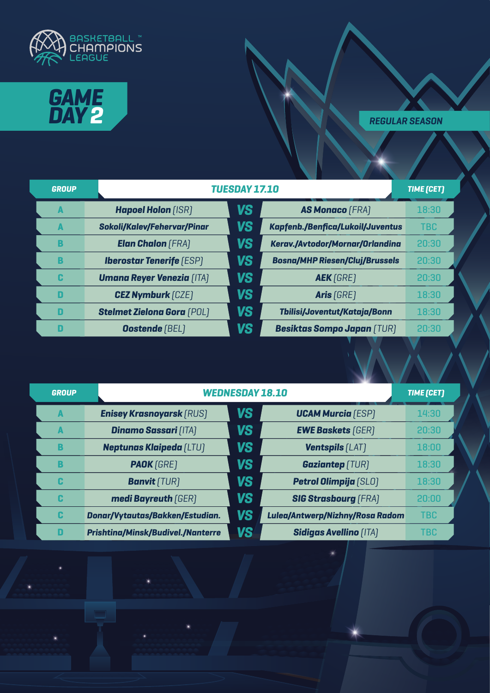



| <b>GROUP</b> |                                    | <b>TUESDAY 17.10</b> |                                       |            |
|--------------|------------------------------------|----------------------|---------------------------------------|------------|
| A            | <b>Hapoel Holon (ISR)</b>          | <b>VS</b>            | <b>AS Monaco</b> (FRA)                | 18:30      |
| A            | <b>Sokoli/Kalev/Fehervar/Pinar</b> | <b>VS</b>            | Kapfenb./Benfica/Lukoil/Juventus      | <b>TBC</b> |
| B            | <b>Elan Chalon (FRA)</b>           | VS                   | Kerav./Avtodor/Mornar/Orlandina       | 20:30      |
| B            | <b>Iberostar Tenerife (ESP)</b>    | VS                   | <b>Bosna/MHP Riesen/Cluj/Brussels</b> | 20:30      |
| C            | <b>Umana Reyer Venezia [ITA]</b>   | VS                   | <b>AEK</b> [GRE]                      | 20:30      |
| D            | <b>CEZ Nymburk [CZE]</b>           | VS                   | Aris [GRE]                            | 18:30      |
| D            | <b>Stelmet Zielona Gora (POL)</b>  | VS                   | Tbilisi/Joventut/Kataja/Bonn          | 18:30      |
| D            | <b>Oostende</b> (BEL)              | VS                   | <b>Besiktas Sompo Japan (TUR)</b>     | 20:30      |

| <b>GROUP</b> |                                          | <b>WEDNESDAY 18.10</b><br><b>TIME [CET]</b> |                                 |            |
|--------------|------------------------------------------|---------------------------------------------|---------------------------------|------------|
| A            | <b>Enisey Krasnoyarsk (RUS)</b>          | <b>VS</b>                                   | <b>UCAM Murcia</b> [ESP]        | 14:30      |
| A            | <b>Dinamo Sassari [ITA]</b>              | <b>VS</b>                                   | <b>EWE Baskets [GER]</b>        | 20:30      |
| B            | <b>Neptunas Klaipeda [LTU]</b>           | <b>VS</b>                                   | <b>Ventspils [LAT]</b>          | 18:00      |
| B            | <b>PAOK</b> [GRE]                        | <b>VS</b>                                   | <b>Gaziantep</b> (TUR)          | 18:30      |
| C            | <b>Banvit</b> [TUR]                      | <b>VS</b>                                   | <b>Petrol Olimpija</b> [SLO]    | 18:30      |
| C            | medi Bayreuth [GER]                      | <b>VS</b>                                   | <b>SIG Strasbourg [FRA]</b>     | 20:00      |
| C            | Donar/Vytautas/Bakken/Estudian.          | <b>VS</b>                                   | Lulea/Antwerp/Nizhny/Rosa Radom | <b>TBC</b> |
| D            | <b>Prishtina/Minsk/Budivel./Nanterre</b> | <b>VS</b>                                   | <b>Sidigas Avellino (ITA)</b>   | <b>TBC</b> |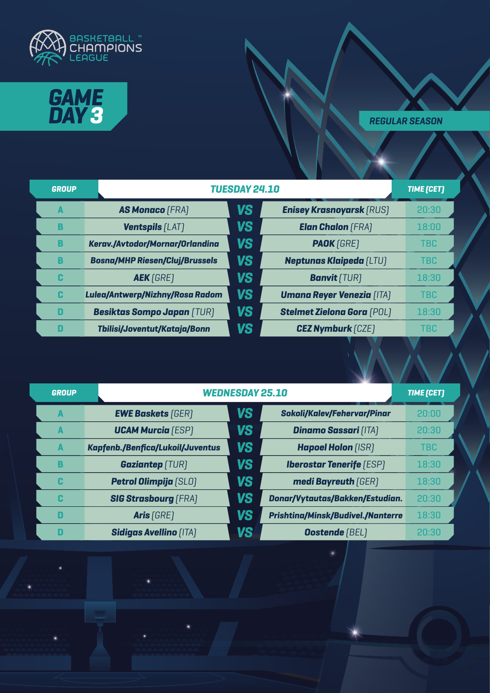



| <b>GROUP</b> |                                       | <b>TUESDAY 24.10</b> |                                   |            |
|--------------|---------------------------------------|----------------------|-----------------------------------|------------|
| A            | <b>AS Monaco [FRA]</b>                | VS                   | <b>Enisey Krasnoyarsk (RUS)</b>   | 20:30      |
| B            | <b>Ventspils [LAT]</b>                | <b>VS</b>            | <b>Elan Chalon</b> (FRA)          | 18:00      |
| B            | Kerav./Avtodor/Mornar/Orlandina       | <b>VS</b>            | <b>PAOK</b> [GRE]                 | <b>TBC</b> |
| B            | <b>Bosna/MHP Riesen/Cluj/Brussels</b> | VS                   | <b>Neptunas Klaipeda (LTU)</b>    | <b>TBC</b> |
| C            | <b>AEK</b> [GRE]                      | <b>VS</b>            | <b>Banvit</b> [TUR]               | 18:30      |
| C            | Lulea/Antwerp/Nizhny/Rosa Radom       | <b>VS</b>            | <b>Umana Reyer Venezia [ITA]</b>  | <b>TBC</b> |
| D            | <b>Besiktas Sompo Japan (TUR)</b>     | <b>VS</b>            | <b>Stelmet Zielona Gora (POL)</b> | 18:30      |
| D            | Tbilisi/Joventut/Kataja/Bonn          | <b>VS</b>            | <b>CEZ Nymburk [CZE]</b>          | <b>TBC</b> |

| <b>GROUP</b> |                                  | <b>WEDNESDAY 25.10</b><br><b>TIME [CET]</b> |                                          |            |
|--------------|----------------------------------|---------------------------------------------|------------------------------------------|------------|
| A            | <b>EWE Baskets [GER]</b>         | <b>VS</b>                                   | <b>Sokoli/Kalev/Fehervar/Pinar</b>       | 20:00      |
|              | <b>UCAM Murcia</b> (ESP)         | <b>VS</b>                                   | <b>Dinamo Sassari [ITA]</b>              | 20:30      |
| A            | Kapfenb./Benfica/Lukoil/Juventus | VS                                          | <b>Hapoel Holon [ISR]</b>                | <b>TBC</b> |
| B            | <b>Gaziantep</b> [TUR]           | <b>VS</b>                                   | <b>Iberostar Tenerife</b> [ESP]          | 18:30      |
| C            | <b>Petrol Olimpija</b> [SLO]     | <b>VS</b>                                   | medi Bayreuth [GER]                      | 18:30      |
| C            | <b>SIG Strasbourg [FRA]</b>      | <b>VS</b>                                   | Donar/Vytautas/Bakken/Estudian.          | 20:30      |
| D            | Aris [GRE]                       | <b>VS</b>                                   | <b>Prishtina/Minsk/Budivel./Nanterre</b> | 18:30      |
| П            | <b>Sidigas Avellino [ITA]</b>    | VS                                          | <b>Oostende</b> [BEL]                    | 20:30      |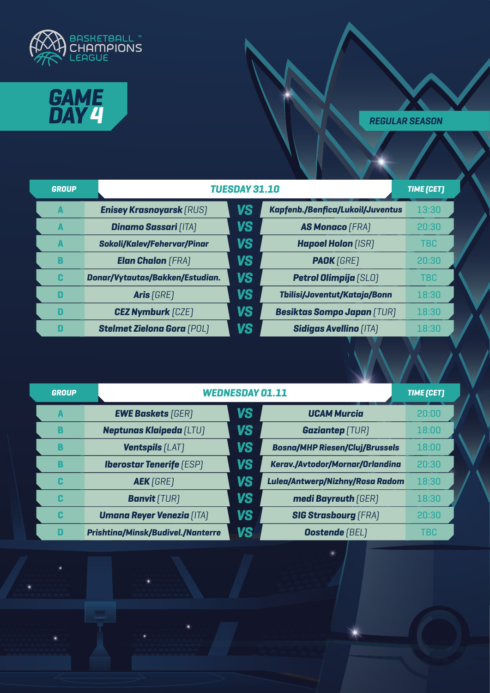



| <b>GROUP</b> |                                    | <b>TUESDAY 31.10</b><br><b>TIME [CET]</b> |                                         |            |
|--------------|------------------------------------|-------------------------------------------|-----------------------------------------|------------|
| A            | <b>Enisey Krasnoyarsk (RUS)</b>    | <b>VS</b>                                 | <b>Kapfenb./Benfica/Lukoil/Juventus</b> | 13:30      |
| A            | <b>Dinamo Sassari [ITA]</b>        | <b>VS</b>                                 | <b>AS Monaco (FRA)</b>                  | 20:30      |
| A            | <b>Sokoli/Kalev/Fehervar/Pinar</b> | <b>VS</b>                                 | <b>Hapoel Holon [ISR]</b>               | <b>TBC</b> |
| B            | <b>Elan Chalon</b> (FRA)           | <b>VS</b>                                 | <b>PAOK</b> [GRE]                       | 20:30      |
| C            | Donar/Vytautas/Bakken/Estudian.    | <b>VS</b>                                 | <b>Petrol Olimpija</b> [SLO]            | <b>TBC</b> |
| D            | Aris [GRE]                         | VS                                        | Tbilisi/Joventut/Kataja/Bonn            | 18:30      |
| D            | <b>CEZ Nymburk [CZE]</b>           | <b>VS</b>                                 | <b>Besiktas Sompo Japan (TUR)</b>       | 18:30      |
| D            | <b>Stelmet Zielona Gora (POL)</b>  | VS                                        | <b>Sidigas Avellino [ITA]</b>           | 18:30      |

| <b>GROUP</b> |                                          | <b>WEDNESDAY 01.11</b> |                                       |            |
|--------------|------------------------------------------|------------------------|---------------------------------------|------------|
| A            | <b>EWE Baskets</b> [GER]                 | VS                     | <b>UCAM Murcia</b>                    | 20:00      |
| B            | <b>Neptunas Klaipeda [LTU]</b>           | <b>VS</b>              | <b>Gaziantep</b> (TUR)                | 18:00      |
| В            | <b>Ventspils [LAT]</b>                   | VS                     | <b>Bosna/MHP Riesen/Cluj/Brussels</b> | 18:00      |
| В            | <b>Iberostar Tenerife (ESP)</b>          | VS                     | Kerav./Avtodor/Mornar/Orlandina       | 20:30      |
| C            | <b>AEK</b> [GRE]                         | VS                     | Lulea/Antwerp/Nizhny/Rosa Radom       | 18:30      |
| C            | <b>Banvit</b> [TUR]                      | <b>VS</b>              | medi Bayreuth (GER)                   | 18:30      |
| C            | <b>Umana Reyer Venezia (ITA)</b>         | <b>VS</b>              | <b>SIG Strasbourg (FRA)</b>           | 20:30      |
| D            | <b>Prishtina/Minsk/Budivel./Nanterre</b> | VS                     | <b>Oostende</b> [BEL]                 | <b>TBC</b> |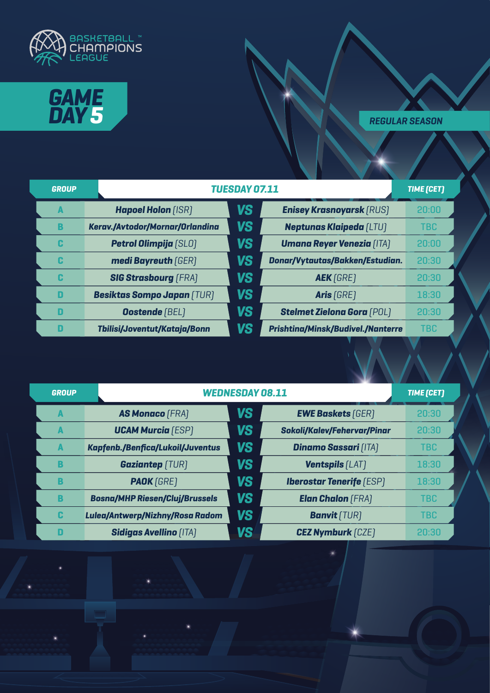



| <b>GROUP</b>   |                                   | <b>TUESDAY 07.11</b> |                                          |            |
|----------------|-----------------------------------|----------------------|------------------------------------------|------------|
| $\blacksquare$ | <b>Hapoel Holon (ISR)</b>         | <b>VS</b>            | <b>Enisey Krasnoyarsk (RUS)</b>          | 20:00      |
| В              | Kerav./Avtodor/Mornar/Orlandina   | VS                   | <b>Neptunas Klaipeda (LTU)</b>           | <b>TBC</b> |
| C              | <b>Petrol Olimpija [SLO]</b>      | VS                   | <b>Umana Reyer Venezia [ITA]</b>         | 20:00      |
| C              | medi Bayreuth [GER]               | VS                   | Donar/Vytautas/Bakken/Estudian.          | 20:30      |
| C              | <b>SIG Strasbourg [FRA]</b>       | VS                   | <b>AEK</b> [GRE]                         | 20:30      |
| D              | <b>Besiktas Sompo Japan (TUR)</b> | <b>VS</b>            | Aris [GRE]                               | 18:30      |
| D              | <b>Oostende</b> (BEL)             | VS                   | <b>Stelmet Zielona Gora (POL)</b>        | 20:30      |
| D              | Tbilisi/Joventut/Kataja/Bonn      | VS                   | <b>Prishtina/Minsk/Budivel./Nanterre</b> | <b>TBC</b> |

| <b>GROUP</b> |                                       | <b>WEDNESDAY 08.11</b> |                                    |            |
|--------------|---------------------------------------|------------------------|------------------------------------|------------|
| A            | <b>AS Monaco [FRA]</b>                | <b>VS</b>              | <b>EWE Baskets [GER]</b>           | 20:30      |
| A            | <b>UCAM Murcia (ESP)</b>              | <b>VS</b>              | <b>Sokoli/Kalev/Fehervar/Pinar</b> | 20:30      |
| A            | Kapfenb./Benfica/Lukoil/Juventus      | <b>VS</b>              | <b>Dinamo Sassari [ITA]</b>        | <b>TBC</b> |
| B            | <b>Gaziantep</b> (TUR)                | <b>VS</b>              | <b>Ventspils [LAT]</b>             | 18:30      |
| B            | <b>PAOK</b> [GRE]                     | <b>VS</b>              | <b>Iberostar Tenerife (ESP)</b>    | 18:30      |
| B            | <b>Bosna/MHP Riesen/Cluj/Brussels</b> | <b>VS</b>              | <b>Elan Chalon</b> (FRA)           | <b>TBC</b> |
| C            | Lulea/Antwerp/Nizhny/Rosa Radom       | <b>VS</b>              | <b>Banvit</b> [TUR]                | <b>TBC</b> |
| n            | <b>Sidigas Avellino [ITA]</b>         | VS                     | <b>CEZ Nymburk [CZE]</b>           | 20:30      |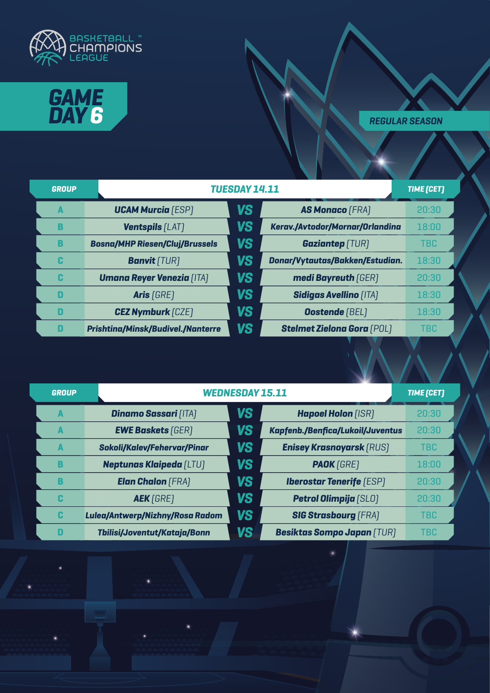



| <b>GROUP</b> |                                          | TUESDAY 14.11 |                                   |            |
|--------------|------------------------------------------|---------------|-----------------------------------|------------|
| A            | <b>UCAM Murcia</b> [ESP]                 | <b>VS</b>     | <b>AS Monaco</b> (FRA)            | 20:30      |
| B            | <b>Ventspils [LAT]</b>                   | VS            | Kerav./Avtodor/Mornar/Orlandina   | 18:00      |
| B            | <b>Bosna/MHP Riesen/Cluj/Brussels</b>    | VS            | <b>Gaziantep</b> (TUR)            | <b>TBC</b> |
| C            | <b>Banvit</b> [TUR]                      | VS            | Donar/Vytautas/Bakken/Estudian.   | 18:30      |
| C            | <b>Umana Reyer Venezia [ITA]</b>         | <b>VS</b>     | medi Bayreuth [GER]               | 20:30      |
| D            | Aris (GRE)                               | VS            | <b>Sidigas Avellino [ITA]</b>     | 18:30      |
| D            | <b>CEZ Nymburk</b> [CZE]                 | VS            | <b>Oostende [BEL]</b>             | 18:30      |
| D            | <b>Prishtina/Minsk/Budivel./Nanterre</b> | VS            | <b>Stelmet Zielona Gora (POL)</b> | <b>TBC</b> |

| <b>GROUP</b> |                                    | <b>WEDNESDAY 15.11</b><br><b>TIME [CET]</b> |                                         |            |
|--------------|------------------------------------|---------------------------------------------|-----------------------------------------|------------|
| A            | <b>Dinamo Sassari [ITA]</b>        | <b>VS</b>                                   | <b>Hapoel Holon [ISR]</b>               | 20:30      |
| A            | <b>EWE Baskets [GER]</b>           | <b>VS</b>                                   | <b>Kapfenb./Benfica/Lukoil/Juventus</b> | 20:30      |
| A            | <b>Sokoli/Kalev/Fehervar/Pinar</b> | <b>VS</b>                                   | <b>Enisey Krasnoyarsk (RUS)</b>         | <b>TBC</b> |
| B            | <b>Neptunas Klaipeda (LTU)</b>     | <b>VS</b>                                   | <b>PAOK</b> [GRE]                       | 18:00      |
| B            | <b>Elan Chalon</b> (FRA)           | <b>VS</b>                                   | <b>Iberostar Tenerife</b> (ESP)         | 20:30      |
| c            | <b>AEK</b> [GRE]                   | <b>VS</b>                                   | <b>Petrol Olimpija</b> [SLO]            | 20:30      |
| C            | Lulea/Antwerp/Nizhny/Rosa Radom    | <b>VS</b>                                   | <b>SIG Strasbourg [FRA]</b>             | <b>TBC</b> |
| D            | Tbilisi/Joventut/Kataja/Bonn       | <b>VS</b>                                   | <b>Besiktas Sompo Japan (TUR)</b>       | <b>TBC</b> |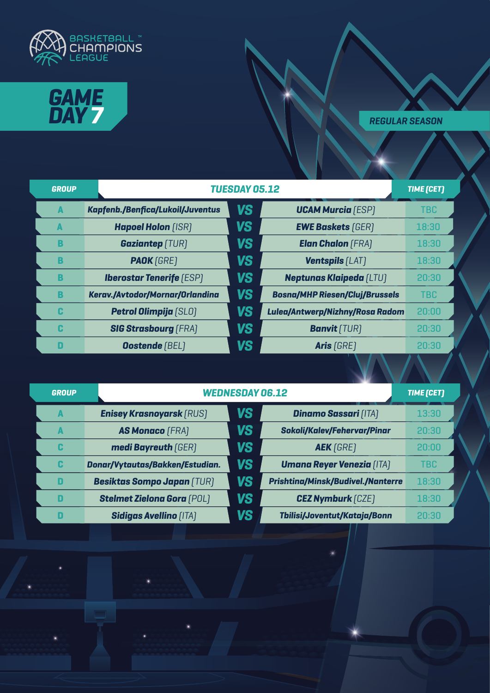



| <b>GROUP</b> |                                         | <b>TUESDAY 05.12</b> |                                       |            |  |  |
|--------------|-----------------------------------------|----------------------|---------------------------------------|------------|--|--|
| A            | <b>Kapfenb./Benfica/Lukoil/Juventus</b> | <b>VS</b>            | <b>UCAM Murcia</b> (ESP)              | <b>TBC</b> |  |  |
| A            | <b>Hapoel Holon [ISR]</b>               | <b>VS</b>            | <b>EWE Baskets [GER]</b>              | 18:30      |  |  |
| B            | <b>Gaziantep</b> (TUR)                  | <b>VS</b>            | <b>Elan Chalon (FRA)</b>              | 18:30      |  |  |
| B            | <b>PAOK</b> [GRE]                       | <b>VS</b>            | <b>Ventspils [LAT]</b>                | 18:30      |  |  |
| B            | <b>Iberostar Tenerife (ESP)</b>         | <b>VS</b>            | <b>Neptunas Klaipeda (LTU)</b>        | 20:30      |  |  |
| B            | Kerav./Avtodor/Mornar/Orlandina         | <b>VS</b>            | <b>Bosna/MHP Riesen/Cluj/Brussels</b> | <b>TBC</b> |  |  |
| C            | Petrol Olimpija [SLO]                   | <b>VS</b>            | Lulea/Antwerp/Nizhny/Rosa Radom       | 20:00      |  |  |
| C            | <b>SIG Strasbourg [FRA]</b>             | <b>VS</b>            | <b>Banvit</b> (TUR)                   | 20:30      |  |  |
| D            | <b>Oostende [BEL]</b>                   | <b>VS</b>            | Aris (GRE)                            | 20:30      |  |  |

| <b>GROUP</b> |                                   | <b>WEDNESDAY 06.12</b> |                                          |            |
|--------------|-----------------------------------|------------------------|------------------------------------------|------------|
| A            | <b>Enisey Krasnoyarsk (RUS)</b>   | VS                     | <b>Dinamo Sassari [ITA]</b>              | 13:30      |
| A            | <b>AS Monaco</b> (FRA)            | <b>VS</b>              | <b>Sokoli/Kalev/Fehervar/Pinar</b>       | 20:30      |
| C            | medi Bayreuth [GER]               | VS                     | <b>AEK</b> [GRE]                         | 20:00      |
| C            | Donar/Vytautas/Bakken/Estudian.   | VS                     | <b>Umana Reyer Venezia (ITA)</b>         | <b>TBC</b> |
| D            | <b>Besiktas Sompo Japan (TUR)</b> | VS                     | <b>Prishtina/Minsk/Budivel./Nanterre</b> | 18:30      |
| D            | <b>Stelmet Zielona Gora (POL)</b> | <b>VS</b>              | <b>CEZ Nymburk [CZE]</b>                 | 18:30      |
| П            | <b>Sidigas Avellino (ITA)</b>     | VS                     | Tbilisi/Joventut/Kataja/Bonn             | 20:30      |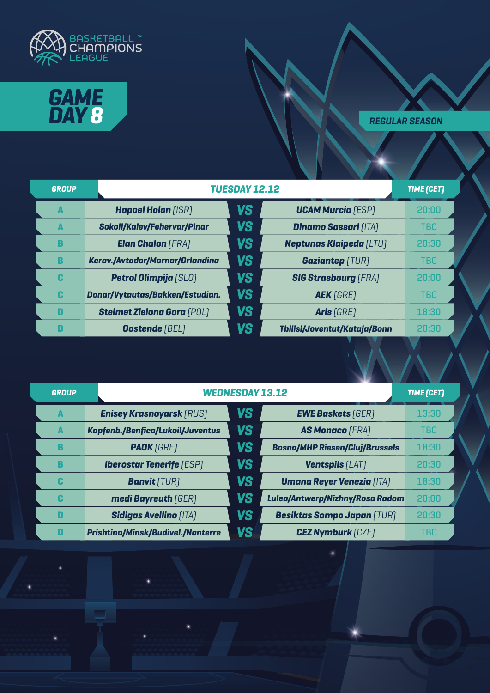



| <b>GROUP</b> |                                    | <b>TUESDAY 12.12</b> |                                |            |
|--------------|------------------------------------|----------------------|--------------------------------|------------|
| A            | <b>Hapoel Holon [ISR]</b>          | <b>VS</b>            | <b>UCAM Murcia</b> [ESP]       | 20:00      |
| A            | <b>Sokoli/Kalev/Fehervar/Pinar</b> | <b>VS</b>            | <b>Dinamo Sassari [ITA]</b>    | <b>TBC</b> |
| B            | <b>Elan Chalon</b> (FRA)           | <b>VS</b>            | <b>Neptunas Klaipeda [LTU]</b> | 20:30      |
| B            | Kerav./Avtodor/Mornar/Orlandina    | <b>VS</b>            | <b>Gaziantep [TUR]</b>         | <b>TBC</b> |
| C            | <b>Petrol Olimpija</b> [SLO]       | <b>VS</b>            | <b>SIG Strasbourg [FRA]</b>    | 20:00      |
| C            | Donar/Vytautas/Bakken/Estudian.    | <b>VS</b>            | <b>AEK</b> [GRE]               | <b>TBC</b> |
| D            | <b>Stelmet Zielona Gora (POL)</b>  | <b>VS</b>            | Aris [GRE]                     | 18:30      |
| D            | <b>Oostende [BEL]</b>              | <b>VS</b>            | Tbilisi/Joventut/Kataja/Bonn   | 20:30      |

| <b>GROUP</b> |                                          | <b>WEDNESDAY 13.12</b> |                                       |            |
|--------------|------------------------------------------|------------------------|---------------------------------------|------------|
| A            | <b>Enisey Krasnoyarsk (RUS)</b>          | <b>VS</b>              | <b>EWE Baskets [GER]</b>              | 13:30      |
| A            | <b>Kapfenb./Benfica/Lukoil/Juventus</b>  | <b>VS</b>              | <b>AS Monaco [FRA]</b>                | <b>TBC</b> |
| B            | <b>PAOK</b> [GRE]                        | VS                     | <b>Bosna/MHP Riesen/Cluj/Brussels</b> | 18:30      |
| B            | <b>Iberostar Tenerife (ESP)</b>          | <b>VS</b>              | <b>Ventspils [LAT]</b>                | 20:30      |
| C            | <b>Banvit</b> [TUR]                      | <b>VS</b>              | <b>Umana Reyer Venezia (ITA)</b>      | 18:30      |
| C            | medi Bayreuth [GER]                      | VS                     | Lulea/Antwerp/Nizhny/Rosa Radom       | 20:00      |
| D            | <b>Sidigas Avellino [ITA]</b>            | VS                     | <b>Besiktas Sompo Japan (TUR)</b>     | 20:30      |
| D            | <b>Prishtina/Minsk/Budivel./Nanterre</b> | VS                     | <b>CEZ Nymburk [CZE]</b>              | <b>TBC</b> |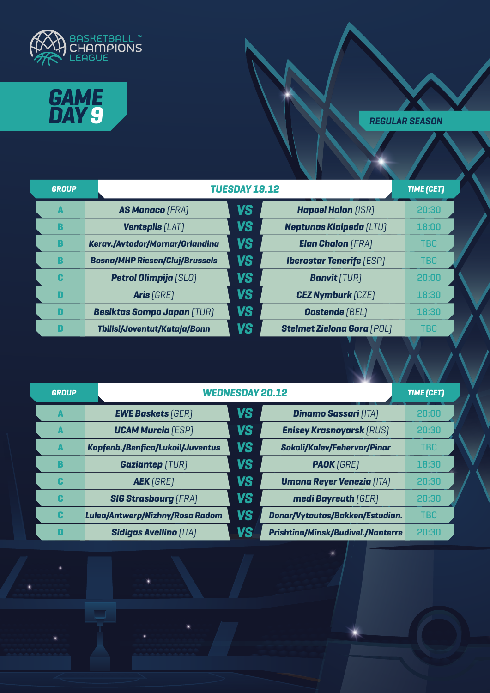



| <b>GROUP</b> |                                        | <b>TUESDAY 19.12</b> |                                   |            |
|--------------|----------------------------------------|----------------------|-----------------------------------|------------|
| A            | <b>AS Monaco (FRA)</b>                 | <b>VS</b>            | <b>Hapoel Holon [ISR]</b>         | 20:30      |
| B            | <b>Ventspils [LAT]</b>                 | <b>VS</b>            | <b>Neptunas Klaipeda [LTU]</b>    | 18:00      |
| B            | <b>Kerav./Avtodor/Mornar/Orlandina</b> | <b>VS</b>            | <b>Elan Chalon</b> (FRA)          | <b>TBC</b> |
| B            | <b>Bosna/MHP Riesen/Cluj/Brussels</b>  | <b>VS</b>            | <b>Iberostar Tenerife (ESP)</b>   | <b>TBC</b> |
| C            | <b>Petrol Olimpija</b> [SLO]           | <b>VS</b>            | <b>Banvit</b> (TUR)               | 20:00      |
| D            | Aris $[GRE]$                           | <b>VS</b>            | <b>CEZ Nymburk</b> [CZE]          | 18:30      |
| D            | <b>Besiktas Sompo Japan (TUR)</b>      | <b>VS</b>            | <b>Oostende</b> [BEL]             | 18:30      |
| D            | Tbilisi/Joventut/Kataja/Bonn           | <b>VS</b>            | <b>Stelmet Zielona Gora (POL)</b> | <b>TBC</b> |

| <b>GROUP</b> |                                         | <b>WEDNESDAY 20.12</b> |                                          |            |  |  |
|--------------|-----------------------------------------|------------------------|------------------------------------------|------------|--|--|
| A            | <b>EWE Baskets [GER]</b>                | <b>VS</b>              | <b>Dinamo Sassari [ITA]</b>              | 20:00      |  |  |
| A            | <b>UCAM Murcia</b> (ESP)                | <b>VS</b>              | <b>Enisey Krasnoyarsk (RUS)</b>          | 20:30      |  |  |
| A            | <b>Kapfenb./Benfica/Lukoil/Juventus</b> | VS                     | <b>Sokoli/Kalev/Fehervar/Pinar</b>       | <b>TBC</b> |  |  |
| B            | <b>Gaziantep</b> (TUR)                  | <b>VS</b>              | <b>PAOK</b> [GRE]                        | 18:30      |  |  |
| C            | <b>AEK</b> [GRE]                        | <b>VS</b>              | <b>Umana Reyer Venezia [ITA]</b>         | 20:30      |  |  |
| C            | <b>SIG Strasbourg [FRA]</b>             | <b>VS</b>              | medi Bayreuth [GER]                      | 20:30      |  |  |
| C            | Lulea/Antwerp/Nizhny/Rosa Radom         | VS                     | Donar/Vytautas/Bakken/Estudian.          | <b>TBC</b> |  |  |
| П            | <b>Sidigas Avellino [ITA]</b>           | VS                     | <b>Prishtina/Minsk/Budivel./Nanterre</b> | 20:30      |  |  |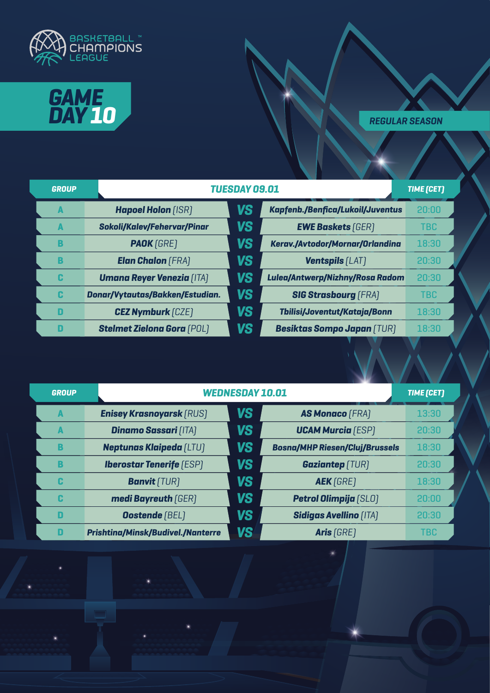



| <b>GROUP</b> |                                    | <b>TUESDAY 09.01</b><br><b>TIME [CET]</b> |                                         |            |
|--------------|------------------------------------|-------------------------------------------|-----------------------------------------|------------|
| A            | <b>Hapoel Holon [ISR]</b>          | VS                                        | <b>Kapfenb./Benfica/Lukoil/Juventus</b> | 20:00      |
| A            | <b>Sokoli/Kalev/Fehervar/Pinar</b> | VS                                        | <b>EWE Baskets [GER]</b>                | <b>TBC</b> |
| B            | <b>PAOK</b> [GRE]                  | VS                                        | Kerav./Avtodor/Mornar/Orlandina         | 18:30      |
| B            | <b>Elan Chalon (FRA)</b>           | VS                                        | <b>Ventspils [LAT]</b>                  | 20:30      |
| C            | <b>Umana Reyer Venezia (ITA)</b>   | VS                                        | Lulea/Antwerp/Nizhny/Rosa Radom         | 20:30      |
| C            | Donar/Vytautas/Bakken/Estudian.    | VS                                        | <b>SIG Strasbourg [FRA]</b>             | <b>TBC</b> |
| D            | <b>CEZ Nymburk</b> [CZE]           | VS                                        | Tbilisi/Joventut/Kataja/Bonn            | 18:30      |
| D            | <b>Stelmet Zielona Gora (POL)</b>  | VS                                        | <b>Besiktas Sompo Japan (TUR)</b>       | 18:30      |

| <b>GROUP</b> |                                          | <b>WEDNESDAY 10.01</b> |                                       |       |  |
|--------------|------------------------------------------|------------------------|---------------------------------------|-------|--|
| A            | <b>Enisey Krasnoyarsk (RUS)</b>          | <b>VS</b>              | <b>AS Monaco</b> (FRA)                | 13:30 |  |
| A            | <b>Dinamo Sassari [ITA]</b>              | <b>VS</b>              | <b>UCAM Murcia</b> [ESP]              | 20:30 |  |
| B            | <b>Neptunas Klaipeda [LTU]</b>           | <b>VS</b>              | <b>Bosna/MHP Riesen/Cluj/Brussels</b> | 18:30 |  |
| В            | <b>Iberostar Tenerife (ESP)</b>          | <b>VS</b>              | <b>Gaziantep</b> (TUR)                | 20:30 |  |
| C            | <b>Banvit</b> [TUR]                      | <b>VS</b>              | <b>AEK</b> [GRE]                      | 18:30 |  |
| C            | medi Bayreuth [GER]                      | <b>VS</b>              | <b>Petrol Olimpija</b> [SLO]          | 20:00 |  |
| D            | <b>Oostende</b> [BEL]                    | <b>VS</b>              | <b>Sidigas Avellino [ITA]</b>         | 20:30 |  |
| D            | <b>Prishtina/Minsk/Budivel./Nanterre</b> | VS                     | Aris [GRE]                            | TBC   |  |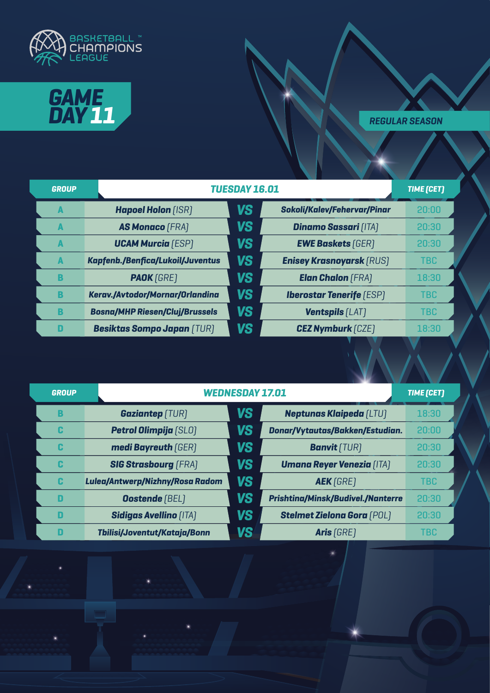



| <b>GROUP</b> |                                         | <b>TUESDAY 16.01</b> |                                    |            |
|--------------|-----------------------------------------|----------------------|------------------------------------|------------|
| A            | <b>Hapoel Holon [ISR]</b>               | <b>VS</b>            | <b>Sokoli/Kalev/Fehervar/Pinar</b> | 20:00      |
| A            | <b>AS Monaco [FRA]</b>                  | VS                   | <b>Dinamo Sassari [ITA]</b>        | 20:30      |
| A            | <b>UCAM Murcia</b> [ESP]                | VS                   | <b>EWE Baskets [GER]</b>           | 20:30      |
| A            | <b>Kapfenb./Benfica/Lukoil/Juventus</b> | <b>VS</b>            | <b>Enisey Krasnoyarsk (RUS)</b>    | <b>TBC</b> |
| B            | <b>PAOK</b> [GRE]                       | <b>VS</b>            | <b>Elan Chalon</b> (FRA)           | 18:30      |
| B            | Kerav./Avtodor/Mornar/Orlandina         | <b>VS</b>            | <b>Iberostar Tenerife (ESP)</b>    | <b>TBC</b> |
| B            | <b>Bosna/MHP Riesen/Cluj/Brussels</b>   | <b>VS</b>            | <b>Ventspils [LAT]</b>             | <b>TBC</b> |
| D            | <b>Besiktas Sompo Japan (TUR)</b>       | VS                   | <b>CEZ Nymburk</b> [CZE]           | 18:30      |

| <b>GROUP</b> |                                 | <b>WEDNESDAY 17.01</b> |                                          |            |  |
|--------------|---------------------------------|------------------------|------------------------------------------|------------|--|
| В            | <b>Gaziantep</b> [TUR]          | VS                     | <b>Neptunas Klaipeda [LTU]</b>           | 18:30      |  |
| C            | <b>Petrol Olimpija</b> [SLO]    | <b>VS</b>              | Donar/Vytautas/Bakken/Estudian.          | 20:00      |  |
| C            | medi Bayreuth (GER)             | VS                     | <b>Banvit</b> (TUR)                      | 20:30      |  |
| C            | <b>SIG Strasbourg (FRA)</b>     | VS                     | <b>Umana Reyer Venezia [ITA]</b>         | 20:30      |  |
| C            | Lulea/Antwerp/Nizhny/Rosa Radom | <b>VS</b>              | <b>AEK</b> [GRE]                         | <b>TBC</b> |  |
| D            | <b>Oostende</b> (BEL)           | VS                     | <b>Prishtina/Minsk/Budivel./Nanterre</b> | 20:30      |  |
| D            | <b>Sidigas Avellino [ITA]</b>   | <b>VS</b>              | <b>Stelmet Zielona Gora (POL)</b>        | 20:30      |  |
| D            | Tbilisi/Joventut/Kataja/Bonn    | VS                     | Aris (GRE)                               | <b>TBC</b> |  |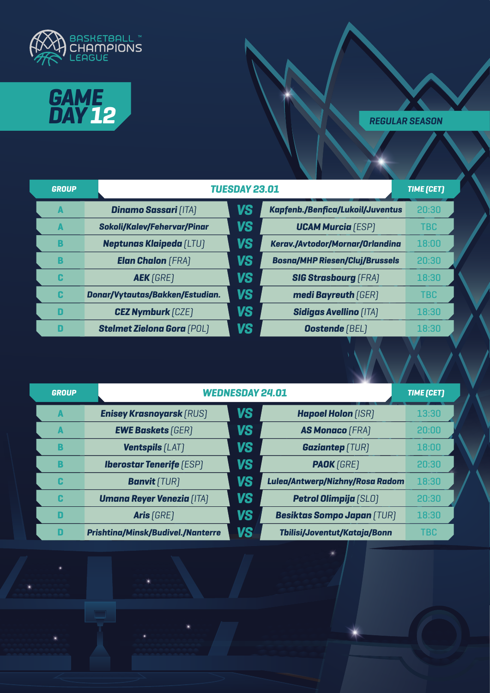



| <b>GROUP</b> |                                    | <b>TUESDAY 23.01</b> |                                         |            |
|--------------|------------------------------------|----------------------|-----------------------------------------|------------|
| A            | <b>Dinamo Sassari (ITA)</b>        | VS                   | <b>Kapfenb./Benfica/Lukoil/Juventus</b> | 20:30      |
| A            | <b>Sokoli/Kalev/Fehervar/Pinar</b> | VS                   | <b>UCAM Murcia</b> [ESP]                | <b>TBC</b> |
| B            | <b>Neptunas Klaipeda [LTU]</b>     | VS                   | Kerav./Avtodor/Mornar/Orlandina         | 18:00      |
| B            | <b>Elan Chalon</b> (FRA)           | VS                   | <b>Bosna/MHP Riesen/Cluj/Brussels</b>   | 20:30      |
| C            | <b>AEK</b> [GRE]                   | VS                   | <b>SIG Strasbourg (FRA)</b>             | 18:30      |
| C            | Donar/Vytautas/Bakken/Estudian.    | VS                   | medi Bayreuth [GER]                     | <b>TBC</b> |
| D            | <b>CEZ Nymburk</b> [CZE]           | VS                   | <b>Sidigas Avellino [ITA]</b>           | 18:30      |
| П            | <b>Stelmet Zielona Gora (POL)</b>  | VS                   | <b>Oostende</b> [BEL]                   | 18:30      |

| <b>GROUP</b> |                                          | <b>WEDNESDAY 24.01</b> |                                   |            |  |
|--------------|------------------------------------------|------------------------|-----------------------------------|------------|--|
| A            | <b>Enisey Krasnoyarsk [RUS]</b>          | <b>VS</b>              | <b>Hapoel Holon [ISR]</b>         | 13:30      |  |
| A            | <b>EWE Baskets [GER]</b>                 | VS                     | <b>AS Monaco [FRA]</b>            | 20:00      |  |
| B            | <b>Ventspils [LAT]</b>                   | VS                     | <b>Gaziantep</b> [TUR]            | 18:00      |  |
| B            | <b>Iberostar Tenerife</b> [ESP]          | <b>VS</b>              | <b>PAOK</b> [GRE]                 | 20:30      |  |
| C            | <b>Banvit</b> [TUR]                      | VS                     | Lulea/Antwerp/Nizhny/Rosa Radom   | 18:30      |  |
| C            | <b>Umana Reyer Venezia (ITA)</b>         | <b>VS</b>              | <b>Petrol Olimpija [SLO]</b>      | 20:30      |  |
| D            | Aris [GRE]                               | VS                     | <b>Besiktas Sompo Japan (TUR)</b> | 18:30      |  |
| D            | <b>Prishtina/Minsk/Budivel./Nanterre</b> | VS                     | Tbilisi/Joventut/Kataja/Bonn      | <b>TBC</b> |  |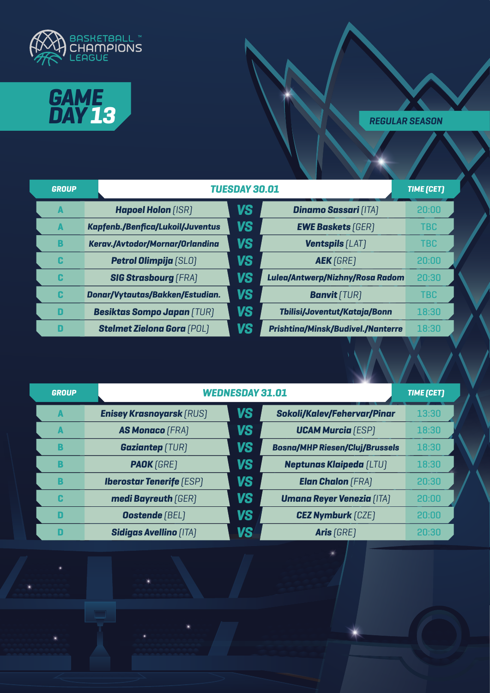



| <b>GROUP</b> |                                   | <b>TUESDAY 30.01</b> |                                          |            |  |
|--------------|-----------------------------------|----------------------|------------------------------------------|------------|--|
| A            | <b>Hapoel Holon [ISR]</b>         | VS                   | <b>Dinamo Sassari [ITA]</b>              | 20:00      |  |
| A            | Kapfenb./Benfica/Lukoil/Juventus  | <b>VS</b>            | <b>EWE Baskets [GER]</b>                 | <b>TBC</b> |  |
| B            | Kerav./Avtodor/Mornar/Orlandina   | <b>VS</b>            | <b>Ventspils [LAT]</b>                   | <b>TBC</b> |  |
| C            | <b>Petrol Olimpija</b> [SLO]      | <b>VS</b>            | <b>AEK</b> [GRE]                         | 20:00      |  |
| C            | <b>SIG Strasbourg [FRA]</b>       | <b>VS</b>            | Lulea/Antwerp/Nizhny/Rosa Radom          | 20:30      |  |
| C            | Donar/Vytautas/Bakken/Estudian.   | <b>VS</b>            | <b>Banvit</b> [TUR]                      | <b>TBC</b> |  |
| D            | <b>Besiktas Sompo Japan (TUR)</b> | <b>VS</b>            | Tbilisi/Joventut/Kataja/Bonn             | 18:30      |  |
| D            | <b>Stelmet Zielona Gora (POL)</b> | VS                   | <b>Prishtina/Minsk/Budivel./Nanterre</b> | 18:30      |  |

| <b>GROUP</b> |                                 | <b>WEDNESDAY 31.01</b> |                                       |       |  |  |
|--------------|---------------------------------|------------------------|---------------------------------------|-------|--|--|
| A            | <b>Enisey Krasnoyarsk (RUS)</b> | <b>VS</b>              | <b>Sokoli/Kalev/Fehervar/Pinar</b>    | 13:30 |  |  |
| A            | <b>AS Monaco [FRA]</b>          | <b>VS</b>              | <b>UCAM Murcia</b> [ESP]              | 18:30 |  |  |
| В            | <b>Gaziantep</b> [TUR]          | <b>VS</b>              | <b>Bosna/MHP Riesen/Cluj/Brussels</b> | 18:30 |  |  |
| B            | <b>PAOK</b> [GRE]               | <b>VS</b>              | <b>Neptunas Klaipeda (LTU)</b>        | 18:30 |  |  |
| B            | <b>Iberostar Tenerife (ESP)</b> | <b>VS</b>              | <b>Elan Chalon</b> (FRA)              | 20:30 |  |  |
| C            | medi Bayreuth [GER]             | <b>VS</b>              | <b>Umana Reyer Venezia [ITA]</b>      | 20:00 |  |  |
| D            | <b>Oostende</b> [BEL]           | <b>VS</b>              | <b>CEZ Nymburk [CZE]</b>              | 20:00 |  |  |
|              | <b>Sidigas Avellino [ITA]</b>   | VS                     | Aris (GRE)                            | 20:30 |  |  |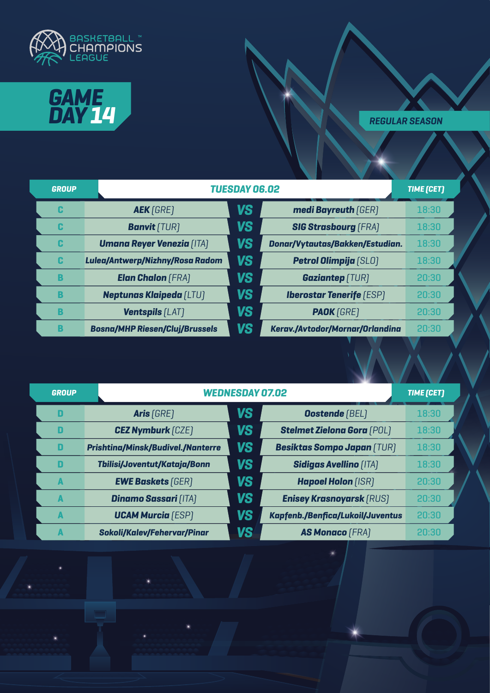



| <b>GROUP</b> |                                       | <b>TUESDAY 06.02</b> |                                 |       |  |
|--------------|---------------------------------------|----------------------|---------------------------------|-------|--|
| C            | <b>AEK</b> [GRE]                      | VS                   | medi Bayreuth (GER)             | 18:30 |  |
| C            | <b>Banvit</b> [TUR]                   | VS                   | <b>SIG Strasbourg [FRA]</b>     | 18:30 |  |
| C            | <b>Umana Reyer Venezia [ITA]</b>      | VS                   | Donar/Vytautas/Bakken/Estudian. | 18:30 |  |
| C            | Lulea/Antwerp/Nizhny/Rosa Radom       | VS                   | <b>Petrol Olimpija [SLO]</b>    | 18:30 |  |
| B            | <b>Elan Chalon</b> (FRA)              | VS                   | <b>Gaziantep [TUR]</b>          | 20:30 |  |
| B            | <b>Neptunas Klaipeda [LTU]</b>        | <b>VS</b>            | <b>Iberostar Tenerife (ESP)</b> | 20:30 |  |
| B            | <b>Ventspils [LAT]</b>                | <b>VS</b>            | <b>PAOK</b> [GRE]               | 20:30 |  |
| B            | <b>Bosna/MHP Riesen/Cluj/Brussels</b> | VS                   | Kerav./Avtodor/Mornar/Orlandina | 20:30 |  |

| <b>GROUP</b> |                                          | <b>WEDNESDAY 07.02</b> |                                   |       |  |
|--------------|------------------------------------------|------------------------|-----------------------------------|-------|--|
| D            | Aris [GRE]                               | VS                     | <b>Oostende</b> [BEL]             | 18:30 |  |
| D            | <b>CEZ Nymburk [CZE]</b>                 | <b>VS</b>              | <b>Stelmet Zielona Gora (POL)</b> | 18:30 |  |
| D            | <b>Prishtina/Minsk/Budivel./Nanterre</b> | VS                     | <b>Besiktas Sompo Japan (TUR)</b> | 18:30 |  |
| D            | Tbilisi/Joventut/Kataja/Bonn             | <b>VS</b>              | <b>Sidigas Avellino [ITA]</b>     | 18:30 |  |
| A            | <b>EWE Baskets [GER]</b>                 | VS                     | <b>Hapoel Holon [ISR]</b>         | 20:30 |  |
| A            | <b>Dinamo Sassari [ITA]</b>              | <b>VS</b>              | <b>Enisey Krasnoyarsk (RUS)</b>   | 20:30 |  |
| A            | <b>UCAM Murcia</b> (ESP)                 | VS                     | Kapfenb./Benfica/Lukoil/Juventus  | 20:30 |  |
|              | <b>Sokoli/Kalev/Fehervar/Pinar</b>       | VS                     | <b>AS Monaco (FRA)</b>            | 20:30 |  |